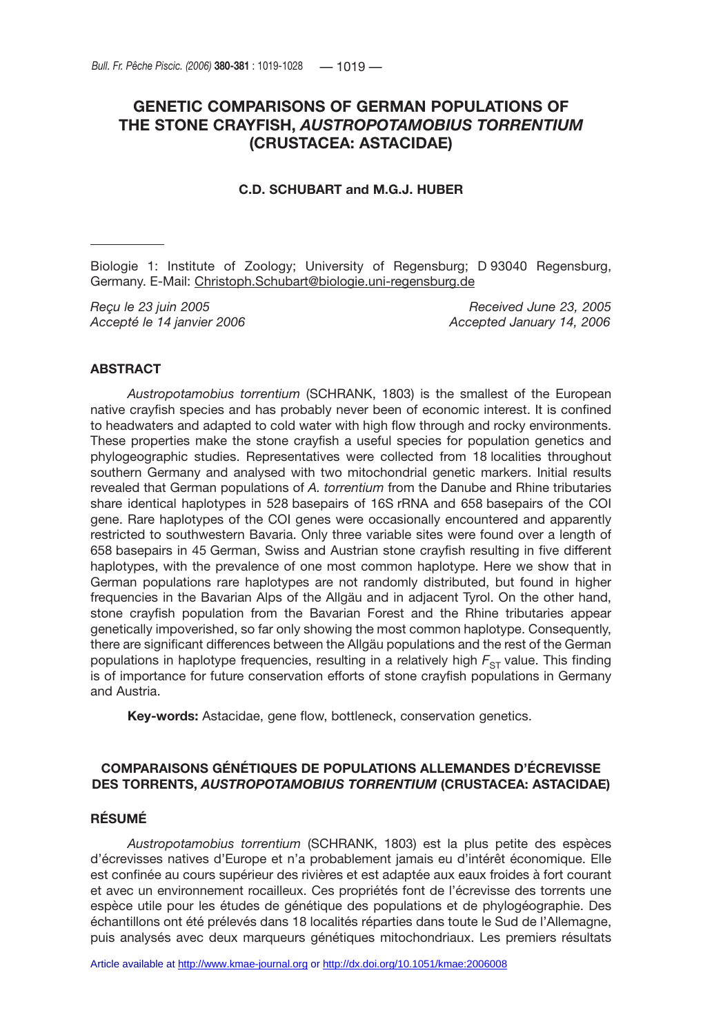# **GENETIC COMPARISONS OF GERMAN POPULATIONS OF THE STONE CRAYFISH,** *AUSTROPOTAMOBIUS TORRENTIUM* **(CRUSTACEA: ASTACIDAE)**

# **C.D. SCHUBART and M.G.J. HUBER**

Biologie 1: Institute of Zoology; University of Regensburg; D 93040 Regensburg, Germany. E-Mail: Christoph.Schubart@biologie.uni-regensburg.de

*Reçu le 23 juin 2005 Received June 23, 2005 Accepté le 14 janvier 2006 Accepted January 14, 2006*

# **ABSTRACT**

*Austropotamobius torrentium* (SCHRANK, 1803) is the smallest of the European native crayfish species and has probably never been of economic interest. It is confined to headwaters and adapted to cold water with high flow through and rocky environments. These properties make the stone crayfish a useful species for population genetics and phylogeographic studies. Representatives were collected from 18 localities throughout southern Germany and analysed with two mitochondrial genetic markers. Initial results revealed that German populations of *A. torrentium* from the Danube and Rhine tributaries share identical haplotypes in 528 basepairs of 16S rRNA and 658 basepairs of the COI gene. Rare haplotypes of the COI genes were occasionally encountered and apparently restricted to southwestern Bavaria. Only three variable sites were found over a length of 658 basepairs in 45 German, Swiss and Austrian stone crayfish resulting in five different haplotypes, with the prevalence of one most common haplotype. Here we show that in German populations rare haplotypes are not randomly distributed, but found in higher frequencies in the Bavarian Alps of the Allgäu and in adjacent Tyrol. On the other hand, stone crayfish population from the Bavarian Forest and the Rhine tributaries appear genetically impoverished, so far only showing the most common haplotype. Consequently, there are significant differences between the Allgäu populations and the rest of the German populations in haplotype frequencies, resulting in a relatively high  $F_{ST}$  value. This finding is of importance for future conservation efforts of stone crayfish populations in Germany and Austria.

**Key-words:** Astacidae, gene flow, bottleneck, conservation genetics.

# **COMPARAISONS GÉNÉTIQUES DE POPULATIONS ALLEMANDES D'ÉCREVISSE DES TORRENTS,** *AUSTROPOTAMOBIUS TORRENTIUM* **(CRUSTACEA: ASTACIDAE)**

# **RÉSUMÉ**

*Austropotamobius torrentium* (SCHRANK, 1803) est la plus petite des espèces d'écrevisses natives d'Europe et n'a probablement jamais eu d'intérêt économique. Elle est confinée au cours supérieur des rivières et est adaptée aux eaux froides à fort courant et avec un environnement rocailleux. Ces propriétés font de l'écrevisse des torrents une espèce utile pour les études de génétique des populations et de phylogéographie. Des échantillons ont été prélevés dans 18 localités réparties dans toute le Sud de l'Allemagne, puis analysés avec deux marqueurs génétiques mitochondriaux. Les premiers résultats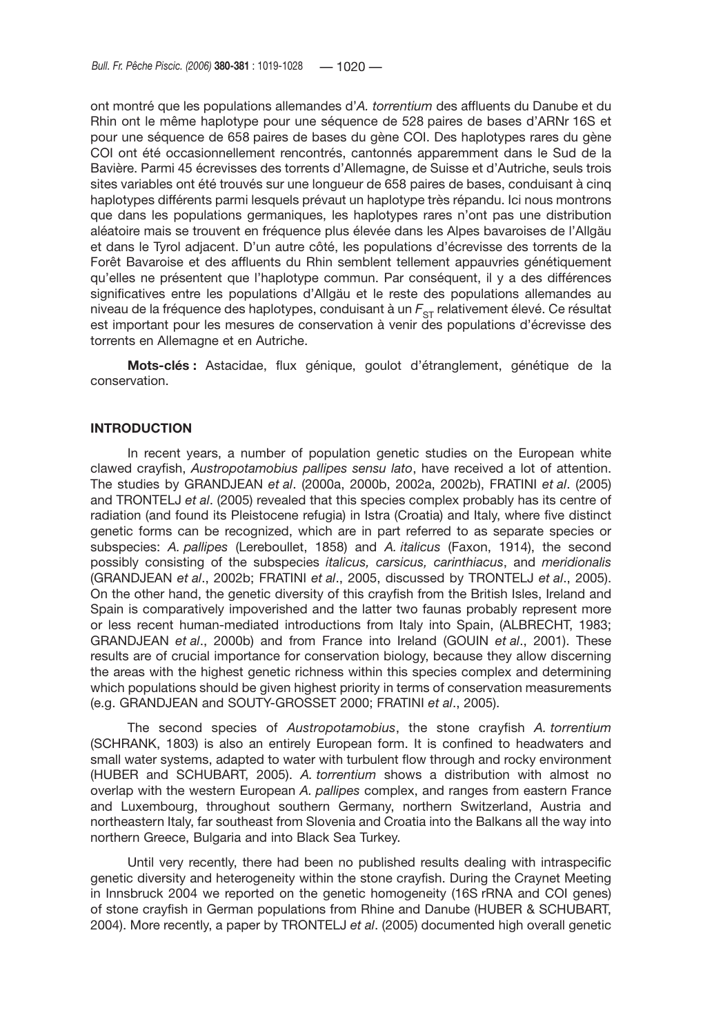ont montré que les populations allemandes d'*A. torrentium* des affluents du Danube et du Rhin ont le même haplotype pour une séquence de 528 paires de bases d'ARNr 16S et pour une séquence de 658 paires de bases du gène COI. Des haplotypes rares du gène COI ont été occasionnellement rencontrés, cantonnés apparemment dans le Sud de la Bavière. Parmi 45 écrevisses des torrents d'Allemagne, de Suisse et d'Autriche, seuls trois sites variables ont été trouvés sur une longueur de 658 paires de bases, conduisant à cinq haplotypes différents parmi lesquels prévaut un haplotype très répandu. Ici nous montrons que dans les populations germaniques, les haplotypes rares n'ont pas une distribution aléatoire mais se trouvent en fréquence plus élevée dans les Alpes bavaroises de l'Allgäu et dans le Tyrol adjacent. D'un autre côté, les populations d'écrevisse des torrents de la Forêt Bavaroise et des affluents du Rhin semblent tellement appauvries génétiquement qu'elles ne présentent que l'haplotype commun. Par conséquent, il y a des différences significatives entre les populations d'Allgäu et le reste des populations allemandes au niveau de la fréquence des haplotypes, conduisant à un  $F_{ST}$  relativement élevé. Ce résultat est important pour les mesures de conservation à venir des populations d'écrevisse des torrents en Allemagne et en Autriche.

**Mots-clés :** Astacidae, flux génique, goulot d'étranglement, génétique de la conservation.

#### **INTRODUCTION**

In recent years, a number of population genetic studies on the European white clawed crayfish, *Austropotamobius pallipes sensu lato*, have received a lot of attention. The studies by GRANDJEAN *et al*. (2000a, 2000b, 2002a, 2002b), FRATINI *et al*. (2005) and TRONTELJ *et al*. (2005) revealed that this species complex probably has its centre of radiation (and found its Pleistocene refugia) in Istra (Croatia) and Italy, where five distinct genetic forms can be recognized, which are in part referred to as separate species or subspecies: *A. pallipes* (Lereboullet, 1858) and *A. italicus* (Faxon, 1914), the second possibly consisting of the subspecies *italicus, carsicus, carinthiacus*, and *meridionalis* (GRANDJEAN *et al*., 2002b; FRATINI *et al*., 2005, discussed by TRONTELJ *et al*., 2005). On the other hand, the genetic diversity of this crayfish from the British Isles, Ireland and Spain is comparatively impoverished and the latter two faunas probably represent more or less recent human-mediated introductions from Italy into Spain, (ALBRECHT, 1983; GRANDJEAN *et al*., 2000b) and from France into Ireland (GOUIN *et al*., 2001). These results are of crucial importance for conservation biology, because they allow discerning the areas with the highest genetic richness within this species complex and determining which populations should be given highest priority in terms of conservation measurements (e.g. GRANDJEAN and SOUTY-GROSSET 2000; FRATINI *et al*., 2005).

The second species of *Austropotamobius*, the stone crayfish *A. torrentium* (SCHRANK, 1803) is also an entirely European form. It is confined to headwaters and small water systems, adapted to water with turbulent flow through and rocky environment (HUBER and SCHUBART, 2005). *A. torrentium* shows a distribution with almost no overlap with the western European *A. pallipes* complex, and ranges from eastern France and Luxembourg, throughout southern Germany, northern Switzerland, Austria and northeastern Italy, far southeast from Slovenia and Croatia into the Balkans all the way into northern Greece, Bulgaria and into Black Sea Turkey.

Until very recently, there had been no published results dealing with intraspecific genetic diversity and heterogeneity within the stone crayfish. During the Craynet Meeting in Innsbruck 2004 we reported on the genetic homogeneity (16S rRNA and COI genes) of stone crayfish in German populations from Rhine and Danube (HUBER & SCHUBART, 2004). More recently, a paper by TRONTELJ *et al*. (2005) documented high overall genetic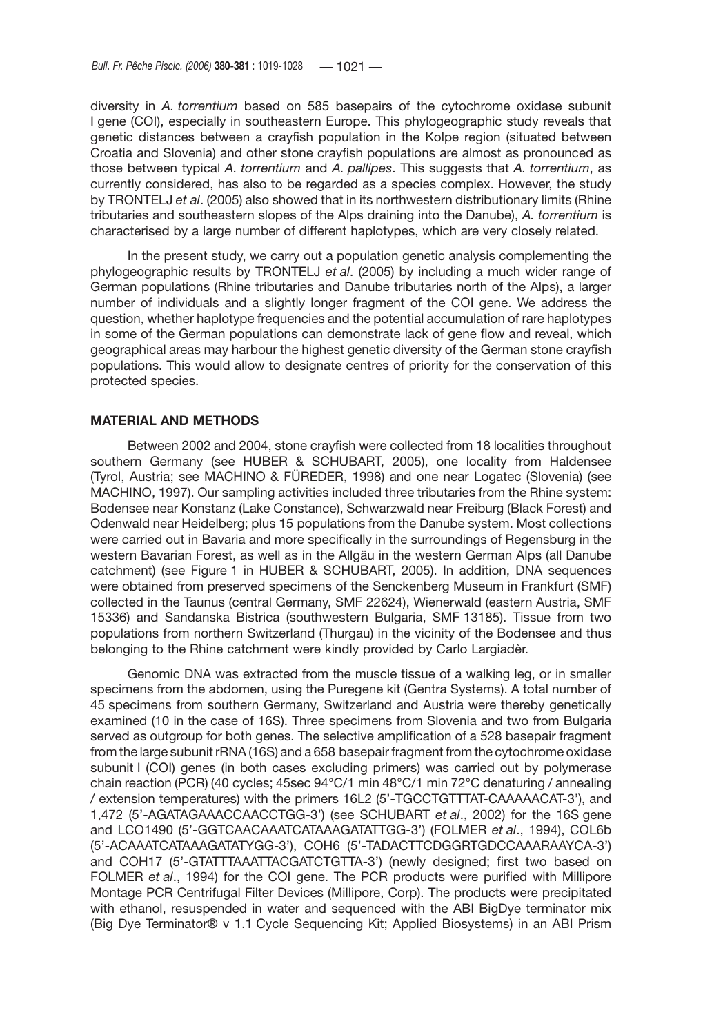diversity in *A. torrentium* based on 585 basepairs of the cytochrome oxidase subunit I gene (COI), especially in southeastern Europe. This phylogeographic study reveals that genetic distances between a crayfish population in the Kolpe region (situated between Croatia and Slovenia) and other stone crayfish populations are almost as pronounced as those between typical *A. torrentium* and *A. pallipes*. This suggests that *A. torrentium*, as currently considered, has also to be regarded as a species complex. However, the study by TRONTELJ *et al*. (2005) also showed that in its northwestern distributionary limits (Rhine tributaries and southeastern slopes of the Alps draining into the Danube), *A. torrentium* is characterised by a large number of different haplotypes, which are very closely related.

In the present study, we carry out a population genetic analysis complementing the phylogeographic results by TRONTELJ *et al*. (2005) by including a much wider range of German populations (Rhine tributaries and Danube tributaries north of the Alps), a larger number of individuals and a slightly longer fragment of the COI gene. We address the question, whether haplotype frequencies and the potential accumulation of rare haplotypes in some of the German populations can demonstrate lack of gene flow and reveal, which geographical areas may harbour the highest genetic diversity of the German stone crayfish populations. This would allow to designate centres of priority for the conservation of this protected species.

#### **MATERIAL AND METHODS**

Between 2002 and 2004, stone crayfish were collected from 18 localities throughout southern Germany (see HUBER & SCHUBART, 2005), one locality from Haldensee (Tyrol, Austria; see MACHINO & FÜREDER, 1998) and one near Logatec (Slovenia) (see MACHINO, 1997). Our sampling activities included three tributaries from the Rhine system: Bodensee near Konstanz (Lake Constance), Schwarzwald near Freiburg (Black Forest) and Odenwald near Heidelberg; plus 15 populations from the Danube system. Most collections were carried out in Bavaria and more specifically in the surroundings of Regensburg in the western Bavarian Forest, as well as in the Allgäu in the western German Alps (all Danube catchment) (see Figure 1 in HUBER & SCHUBART, 2005). In addition, DNA sequences were obtained from preserved specimens of the Senckenberg Museum in Frankfurt (SMF) collected in the Taunus (central Germany, SMF 22624), Wienerwald (eastern Austria, SMF 15336) and Sandanska Bistrica (southwestern Bulgaria, SMF 13185). Tissue from two populations from northern Switzerland (Thurgau) in the vicinity of the Bodensee and thus belonging to the Rhine catchment were kindly provided by Carlo Largiadèr.

Genomic DNA was extracted from the muscle tissue of a walking leg, or in smaller specimens from the abdomen, using the Puregene kit (Gentra Systems). A total number of 45 specimens from southern Germany, Switzerland and Austria were thereby genetically examined (10 in the case of 16S). Three specimens from Slovenia and two from Bulgaria served as outgroup for both genes. The selective amplification of a 528 basepair fragment from the large subunit rRNA (16S) and a 658 basepair fragment from the cytochrome oxidase subunit I (COI) genes (in both cases excluding primers) was carried out by polymerase chain reaction (PCR) (40 cycles; 45sec 94°C/1 min 48°C/1 min 72°C denaturing / annealing / extension temperatures) with the primers 16L2 (5'-TGCCTGTTTAT-CAAAAACAT-3'), and 1,472 (5'-AGATAGAAACCAACCTGG-3') (see SCHUBART *et al*., 2002) for the 16S gene and LCO1490 (5'-GGTCAACAAATCATAAAGATATTGG-3') (FOLMER *et al*., 1994), COL6b (5'-ACAAATCATAAAGATATYGG-3'), COH6 (5'-TADACTTCDGGRTGDCCAAARAAYCA-3') and COH17 (5'-GTATTTAAATTACGATCTGTTA-3') (newly designed; first two based on FOLMER *et al*., 1994) for the COI gene. The PCR products were purified with Millipore Montage PCR Centrifugal Filter Devices (Millipore, Corp). The products were precipitated with ethanol, resuspended in water and sequenced with the ABI BigDye terminator mix (Big Dye Terminator® v 1.1 Cycle Sequencing Kit; Applied Biosystems) in an ABI Prism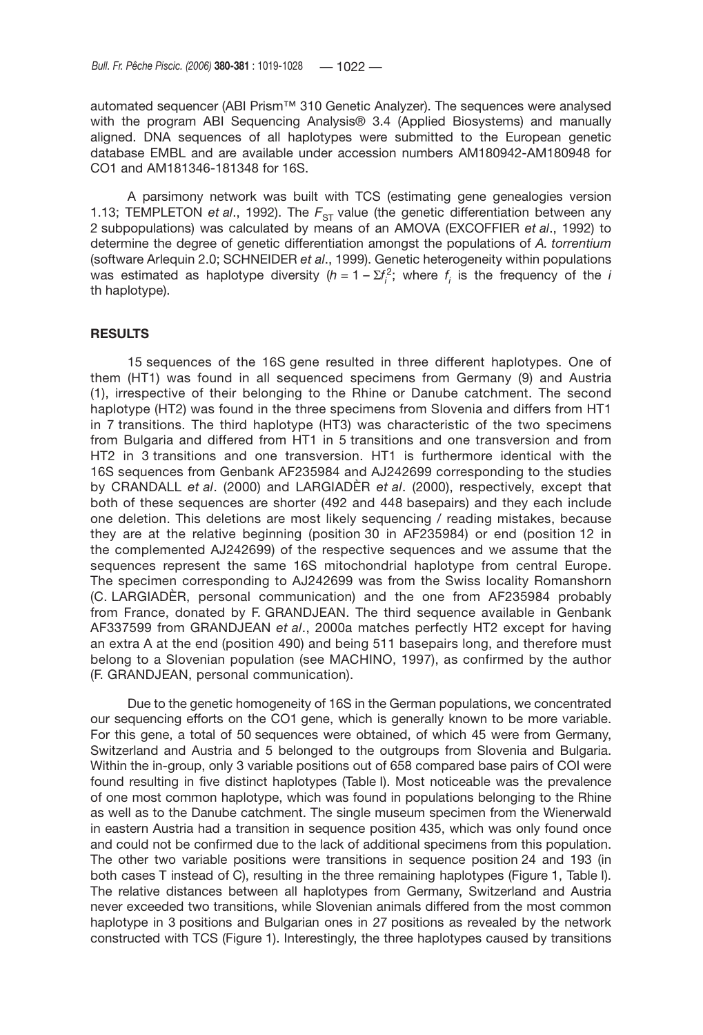automated sequencer (ABI Prism™ 310 Genetic Analyzer). The sequences were analysed with the program ABI Sequencing Analysis® 3.4 (Applied Biosystems) and manually aligned. DNA sequences of all haplotypes were submitted to the European genetic database EMBL and are available under accession numbers AM180942-AM180948 for CO1 and AM181346-181348 for 16S.

A parsimony network was built with TCS (estimating gene genealogies version 1.13; TEMPLETON *et al.*, 1992). The  $F_{ST}$  value (the genetic differentiation between any 2 subpopulations) was calculated by means of an AMOVA (EXCOFFIER *et al*., 1992) to determine the degree of genetic differentiation amongst the populations of *A. torrentium* (software Arlequin 2.0; SCHNEIDER *et al*., 1999). Genetic heterogeneity within populations was estimated as haplotype diversity  $(h = 1 - \Sigma f_i^2)$ ; where  $f_i$  is the frequency of the *i* th haplotype).

#### **RESULTS**

15 sequences of the 16S gene resulted in three different haplotypes. One of them (HT1) was found in all sequenced specimens from Germany (9) and Austria (1), irrespective of their belonging to the Rhine or Danube catchment. The second haplotype (HT2) was found in the three specimens from Slovenia and differs from HT1 in 7 transitions. The third haplotype (HT3) was characteristic of the two specimens from Bulgaria and differed from HT1 in 5 transitions and one transversion and from HT2 in 3 transitions and one transversion. HT1 is furthermore identical with the 16S sequences from Genbank AF235984 and AJ242699 corresponding to the studies by CRANDALL *et al*. (2000) and LARGIADÈR *et al*. (2000), respectively, except that both of these sequences are shorter (492 and 448 basepairs) and they each include one deletion. This deletions are most likely sequencing / reading mistakes, because they are at the relative beginning (position 30 in AF235984) or end (position 12 in the complemented AJ242699) of the respective sequences and we assume that the sequences represent the same 16S mitochondrial haplotype from central Europe. The specimen corresponding to AJ242699 was from the Swiss locality Romanshorn (C. LARGIADÈR, personal communication) and the one from AF235984 probably from France, donated by F. GRANDJEAN. The third sequence available in Genbank AF337599 from GRANDJEAN *et al*., 2000a matches perfectly HT2 except for having an extra A at the end (position 490) and being 511 basepairs long, and therefore must belong to a Slovenian population (see MACHINO, 1997), as confirmed by the author (F. GRANDJEAN, personal communication).

Due to the genetic homogeneity of 16S in the German populations, we concentrated our sequencing efforts on the CO1 gene, which is generally known to be more variable. For this gene, a total of 50 sequences were obtained, of which 45 were from Germany, Switzerland and Austria and 5 belonged to the outgroups from Slovenia and Bulgaria. Within the in-group, only 3 variable positions out of 658 compared base pairs of COI were found resulting in five distinct haplotypes (Table I). Most noticeable was the prevalence of one most common haplotype, which was found in populations belonging to the Rhine as well as to the Danube catchment. The single museum specimen from the Wienerwald in eastern Austria had a transition in sequence position 435, which was only found once and could not be confirmed due to the lack of additional specimens from this population. The other two variable positions were transitions in sequence position 24 and 193 (in both cases T instead of C), resulting in the three remaining haplotypes (Figure 1, Table I). The relative distances between all haplotypes from Germany, Switzerland and Austria never exceeded two transitions, while Slovenian animals differed from the most common haplotype in 3 positions and Bulgarian ones in 27 positions as revealed by the network constructed with TCS (Figure 1). Interestingly, the three haplotypes caused by transitions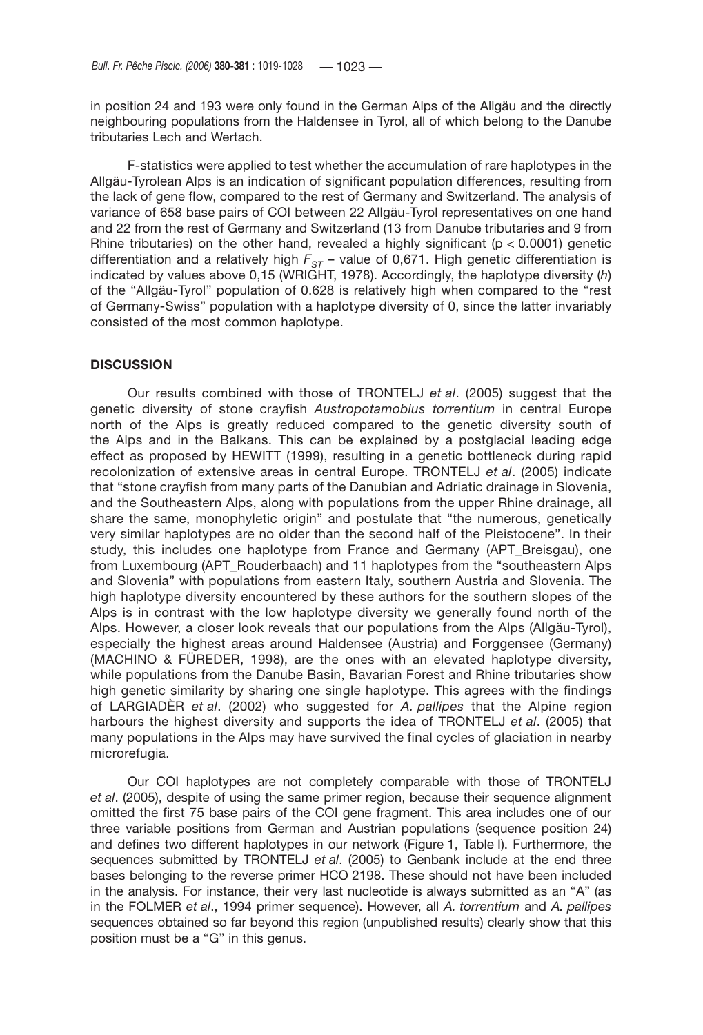in position 24 and 193 were only found in the German Alps of the Allgäu and the directly neighbouring populations from the Haldensee in Tyrol, all of which belong to the Danube tributaries Lech and Wertach.

F-statistics were applied to test whether the accumulation of rare haplotypes in the Allgäu-Tyrolean Alps is an indication of significant population differences, resulting from the lack of gene flow, compared to the rest of Germany and Switzerland. The analysis of variance of 658 base pairs of COI between 22 Allgäu-Tyrol representatives on one hand and 22 from the rest of Germany and Switzerland (13 from Danube tributaries and 9 from Rhine tributaries) on the other hand, revealed a highly significant ( $p < 0.0001$ ) genetic differentiation and a relatively high  $F_{ST}$  – value of 0,671. High genetic differentiation is indicated by values above 0,15 (WRIGHT, 1978). Accordingly, the haplotype diversity (*h*) of the "Allgäu-Tyrol" population of 0.628 is relatively high when compared to the "rest of Germany-Swiss" population with a haplotype diversity of 0, since the latter invariably consisted of the most common haplotype.

#### **DISCUSSION**

Our results combined with those of TRONTELJ *et al*. (2005) suggest that the genetic diversity of stone crayfish *Austropotamobius torrentium* in central Europe north of the Alps is greatly reduced compared to the genetic diversity south of the Alps and in the Balkans. This can be explained by a postglacial leading edge effect as proposed by HEWITT (1999), resulting in a genetic bottleneck during rapid recolonization of extensive areas in central Europe. TRONTELJ *et al*. (2005) indicate that "stone crayfish from many parts of the Danubian and Adriatic drainage in Slovenia, and the Southeastern Alps, along with populations from the upper Rhine drainage, all share the same, monophyletic origin" and postulate that "the numerous, genetically very similar haplotypes are no older than the second half of the Pleistocene". In their study, this includes one haplotype from France and Germany (APT Breisgau), one from Luxembourg (APT\_Rouderbaach) and 11 haplotypes from the "southeastern Alps and Slovenia" with populations from eastern Italy, southern Austria and Slovenia. The high haplotype diversity encountered by these authors for the southern slopes of the Alps is in contrast with the low haplotype diversity we generally found north of the Alps. However, a closer look reveals that our populations from the Alps (Allgäu-Tyrol), especially the highest areas around Haldensee (Austria) and Forggensee (Germany) (MACHINO & FÜREDER, 1998), are the ones with an elevated haplotype diversity, while populations from the Danube Basin, Bavarian Forest and Rhine tributaries show high genetic similarity by sharing one single haplotype. This agrees with the findings of LARGIADÈR *et al*. (2002) who suggested for *A. pallipes* that the Alpine region harbours the highest diversity and supports the idea of TRONTELJ *et al*. (2005) that many populations in the Alps may have survived the final cycles of glaciation in nearby microrefugia.

Our COI haplotypes are not completely comparable with those of TRONTELJ *et al*. (2005), despite of using the same primer region, because their sequence alignment omitted the first 75 base pairs of the COI gene fragment. This area includes one of our three variable positions from German and Austrian populations (sequence position 24) and defines two different haplotypes in our network (Figure 1, Table I). Furthermore, the sequences submitted by TRONTELJ *et al*. (2005) to Genbank include at the end three bases belonging to the reverse primer HCO 2198. These should not have been included in the analysis. For instance, their very last nucleotide is always submitted as an "A" (as in the FOLMER *et al*., 1994 primer sequence). However, all *A. torrentium* and *A. pallipes* sequences obtained so far beyond this region (unpublished results) clearly show that this position must be a "G" in this genus.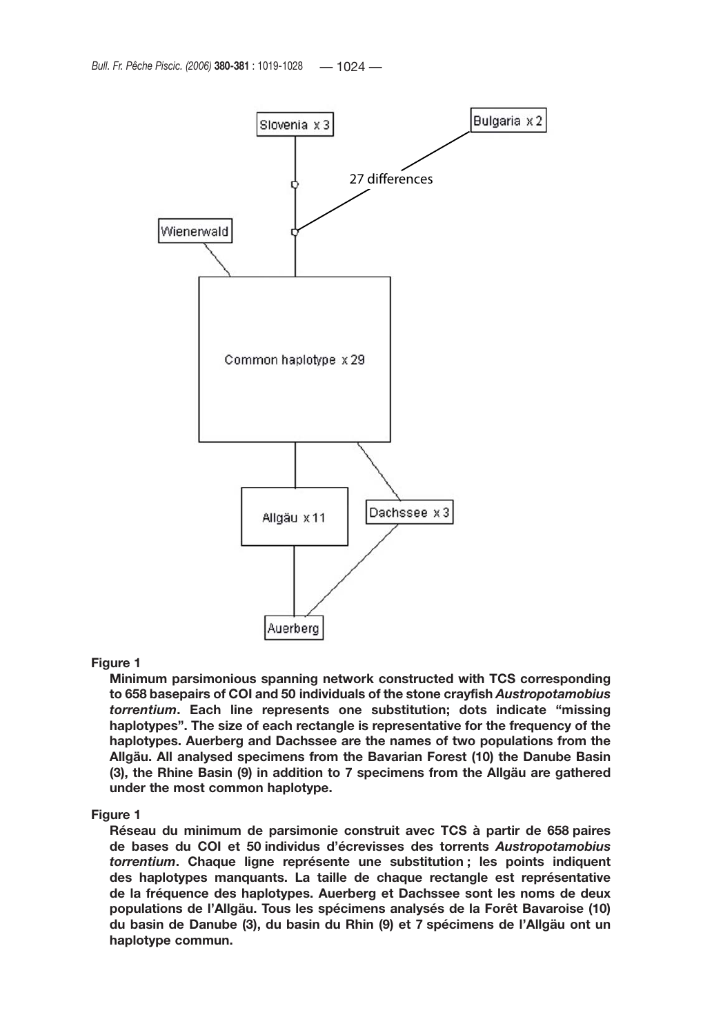

#### **Figure 1**

**Minimum parsimonious spanning network constructed with TCS corresponding to 658 basepairs of COI and 50 individuals of the stone crayfish** *Austropotamobius torrentium***. Each line represents one substitution; dots indicate "missing haplotypes". The size of each rectangle is representative for the frequency of the haplotypes. Auerberg and Dachssee are the names of two populations from the Allgäu. All analysed specimens from the Bavarian Forest (10) the Danube Basin (3), the Rhine Basin (9) in addition to 7 specimens from the Allgäu are gathered under the most common haplotype.**

#### **Figure 1**

**Réseau du minimum de parsimonie construit avec TCS à partir de 658 paires de bases du COI et 50 individus d'écrevisses des torrents** *Austropotamobius torrentium***. Chaque ligne représente une substitution ; les points indiquent des haplotypes manquants. La taille de chaque rectangle est représentative de la fréquence des haplotypes. Auerberg et Dachssee sont les noms de deux populations de l'Allgäu. Tous les spécimens analysés de la Forêt Bavaroise (10) du basin de Danube (3), du basin du Rhin (9) et 7 spécimens de l'Allgäu ont un haplotype commun.**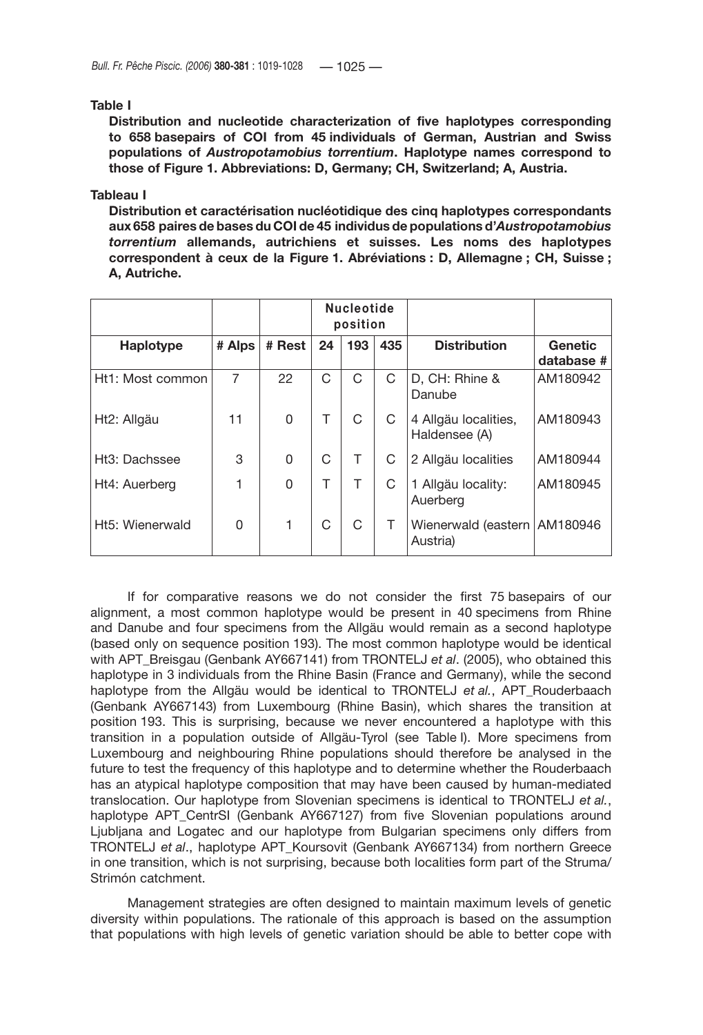#### **Table I**

**Distribution and nucleotide characterization of five haplotypes corresponding to 658 basepairs of COI from 45 individuals of German, Austrian and Swiss populations of** *Austropotamobius torrentium***. Haplotype names correspond to those of Figure 1. Abbreviations: D, Germany; CH, Switzerland; A, Austria.**

#### **Tableau I**

**Distribution et caractérisation nucléotidique des cinq haplotypes correspondants aux 658 paires de bases du COI de 45 individus de populations d'***Austropotamobius torrentium* **allemands, autrichiens et suisses. Les noms des haplotypes correspondent à ceux de la Figure 1. Abréviations : D, Allemagne ; CH, Suisse ; A, Autriche.**

|                  |        |          | <b>Nucleotide</b><br>position |     |     |                                            |                              |
|------------------|--------|----------|-------------------------------|-----|-----|--------------------------------------------|------------------------------|
| Haplotype        | # Alps | # Rest   | 24                            | 193 | 435 | <b>Distribution</b>                        | <b>Genetic</b><br>database # |
| Ht1: Most common | 7      | 22       | С                             | C   | C   | D, CH: Rhine &<br>Danube                   | AM180942                     |
| Ht2: Allgäu      | 11     | 0        | Τ                             | C   | C   | 4 Allgäu localities,<br>Haldensee (A)      | AM180943                     |
| Ht3: Dachssee    | 3      | $\Omega$ | C                             |     | C   | 2 Allgäu localities                        | AM180944                     |
| Ht4: Auerberg    |        | 0        | т                             | Τ   | C   | 1 Allgäu locality:<br>Auerberg             | AM180945                     |
| Ht5: Wienerwald  | 0      | 1        | С                             | C   | T.  | Wienerwald (eastern   AM180946<br>Austria) |                              |

If for comparative reasons we do not consider the first 75 basepairs of our alignment, a most common haplotype would be present in 40 specimens from Rhine and Danube and four specimens from the Allgäu would remain as a second haplotype (based only on sequence position 193). The most common haplotype would be identical with APT\_Breisgau (Genbank AY667141) from TRONTELJ *et al.* (2005), who obtained this haplotype in 3 individuals from the Rhine Basin (France and Germany), while the second haplotype from the Allgäu would be identical to TRONTELJ et al., APT Rouderbaach (Genbank AY667143) from Luxembourg (Rhine Basin), which shares the transition at position 193. This is surprising, because we never encountered a haplotype with this transition in a population outside of Allgäu-Tyrol (see Table I). More specimens from Luxembourg and neighbouring Rhine populations should therefore be analysed in the future to test the frequency of this haplotype and to determine whether the Rouderbaach has an atypical haplotype composition that may have been caused by human-mediated translocation. Our haplotype from Slovenian specimens is identical to TRONTELJ *et al.*, haplotype APT CentrSI (Genbank AY667127) from five Slovenian populations around Ljubljana and Logatec and our haplotype from Bulgarian specimens only differs from TRONTELJ *et al*., haplotype APT\_Koursovit (Genbank AY667134) from northern Greece in one transition, which is not surprising, because both localities form part of the Struma/ Strimón catchment.

Management strategies are often designed to maintain maximum levels of genetic diversity within populations. The rationale of this approach is based on the assumption that populations with high levels of genetic variation should be able to better cope with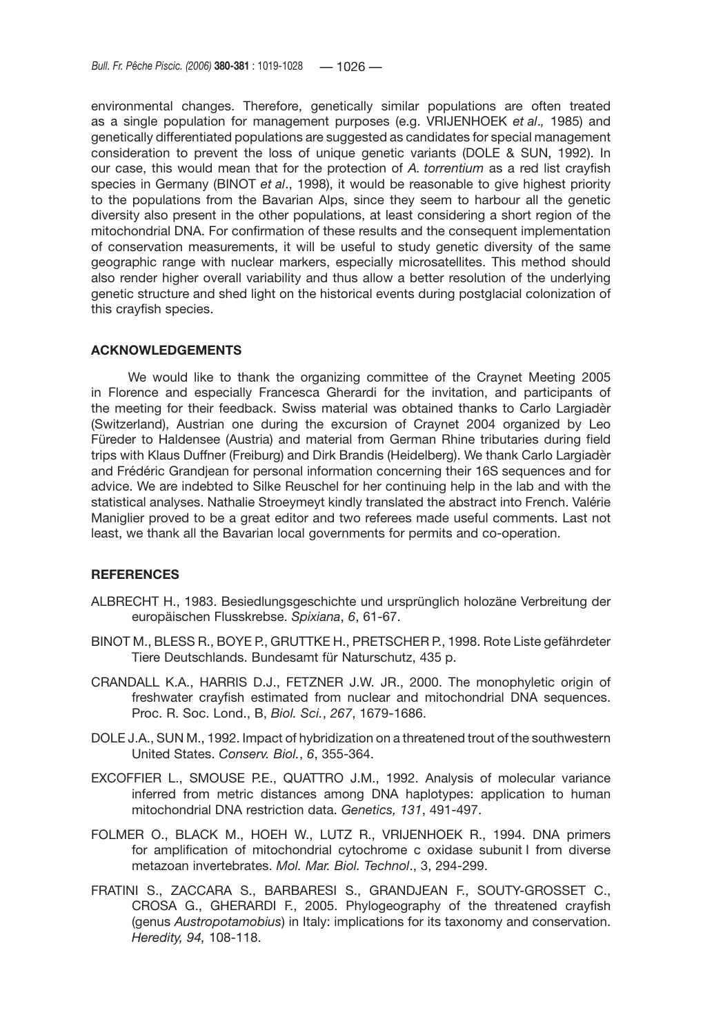environmental changes. Therefore, genetically similar populations are often treated as a single population for management purposes (e.g. VRIJENHOEK *et al*.*,* 1985) and genetically differentiated populations are suggested as candidates for special management consideration to prevent the loss of unique genetic variants (DOLE & SUN, 1992). In our case, this would mean that for the protection of *A. torrentium* as a red list crayfish species in Germany (BINOT *et al*., 1998), it would be reasonable to give highest priority to the populations from the Bavarian Alps, since they seem to harbour all the genetic diversity also present in the other populations, at least considering a short region of the mitochondrial DNA. For confirmation of these results and the consequent implementation of conservation measurements, it will be useful to study genetic diversity of the same geographic range with nuclear markers, especially microsatellites. This method should also render higher overall variability and thus allow a better resolution of the underlying genetic structure and shed light on the historical events during postglacial colonization of this crayfish species.

### **ACKNOWLEDGEMENTS**

We would like to thank the organizing committee of the Craynet Meeting 2005 in Florence and especially Francesca Gherardi for the invitation, and participants of the meeting for their feedback. Swiss material was obtained thanks to Carlo Largiadèr (Switzerland), Austrian one during the excursion of Craynet 2004 organized by Leo Füreder to Haldensee (Austria) and material from German Rhine tributaries during field trips with Klaus Duffner (Freiburg) and Dirk Brandis (Heidelberg). We thank Carlo Largiadèr and Frédéric Grandjean for personal information concerning their 16S sequences and for advice. We are indebted to Silke Reuschel for her continuing help in the lab and with the statistical analyses. Nathalie Stroeymeyt kindly translated the abstract into French. Valérie Maniglier proved to be a great editor and two referees made useful comments. Last not least, we thank all the Bavarian local governments for permits and co-operation.

# **REFERENCES**

- ALBRECHT H., 1983. Besiedlungsgeschichte und ursprünglich holozäne Verbreitung der europäischen Flusskrebse. *Spixiana*, *6*, 61-67.
- BINOT M., BLESS R., BOYE P., GRUTTKE H., PRETSCHER P., 1998. Rote Liste gefährdeter Tiere Deutschlands. Bundesamt für Naturschutz, 435 p.
- CRANDALL K.A., HARRIS D.J., FETZNER J.W. JR., 2000. The monophyletic origin of freshwater crayfish estimated from nuclear and mitochondrial DNA sequences. Proc. R. Soc. Lond., B, *Biol. Sci.*, *267*, 1679-1686.
- DOLE J.A., SUN M., 1992. Impact of hybridization on a threatened trout of the southwestern United States. *Conserv. Biol.*, *6*, 355-364.
- EXCOFFIER L., SMOUSE P.E., QUATTRO J.M., 1992. Analysis of molecular variance inferred from metric distances among DNA haplotypes: application to human mitochondrial DNA restriction data. *Genetics, 131*, 491-497.
- FOLMER O., BLACK M., HOEH W., LUTZ R., VRIJENHOEK R., 1994. DNA primers for amplification of mitochondrial cytochrome c oxidase subunit I from diverse metazoan invertebrates. *Mol. Mar. Biol. Technol*., 3, 294-299.
- FRATINI S., ZACCARA S., BARBARESI S., GRANDJEAN F., SOUTY-GROSSET C., CROSA G., GHERARDI F., 2005. Phylogeography of the threatened crayfish (genus *Austropotamobius*) in Italy: implications for its taxonomy and conservation. *Heredity, 94,* 108-118.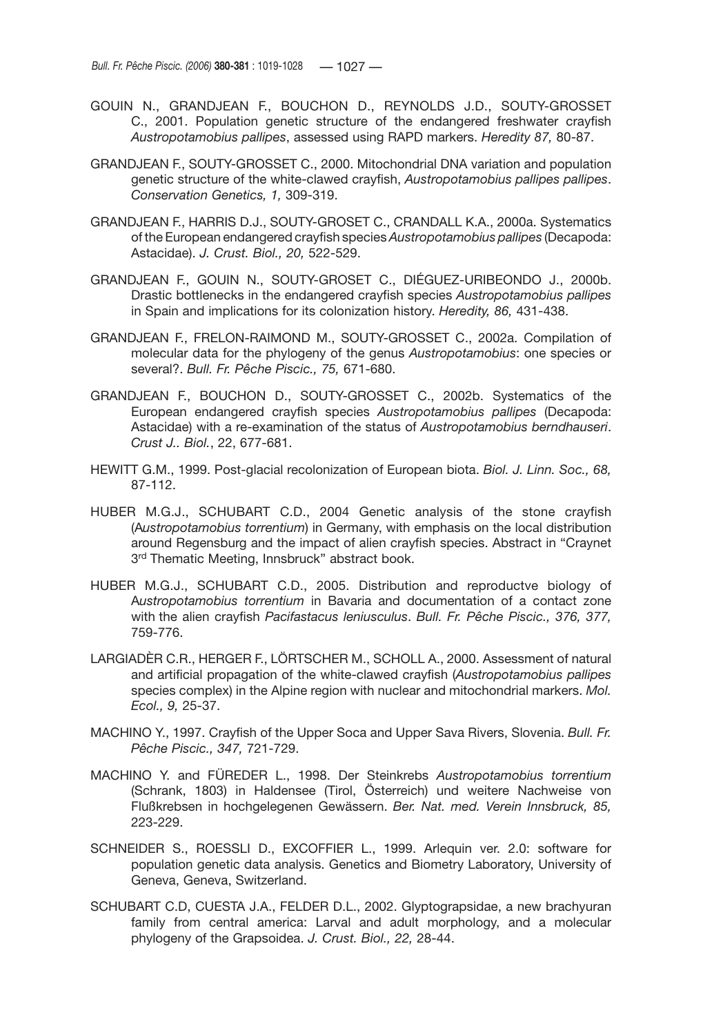- GOUIN N., GRANDJEAN F., BOUCHON D., REYNOLDS J.D., SOUTY-GROSSET C., 2001. Population genetic structure of the endangered freshwater crayfish *Austropotamobius pallipes*, assessed using RAPD markers. *Heredity 87,* 80-87.
- GRANDJEAN F., SOUTY-GROSSET C., 2000. Mitochondrial DNA variation and population genetic structure of the white-clawed crayfish, *Austropotamobius pallipes pallipes*. *Conservation Genetics, 1,* 309-319.
- GRANDJEAN F., HARRIS D.J., SOUTY-GROSET C., CRANDALL K.A., 2000a. Systematics of the European endangered crayfish species *Austropotamobius pallipes* (Decapoda: Astacidae). *J. Crust. Biol., 20,* 522-529.
- GRANDJEAN F., GOUIN N., SOUTY-GROSET C., DIÉGUEZ-URIBEONDO J., 2000b. Drastic bottlenecks in the endangered crayfish species *Austropotamobius pallipes*  in Spain and implications for its colonization history. *Heredity, 86,* 431-438.
- GRANDJEAN F., FRELON-RAIMOND M., SOUTY-GROSSET C., 2002a. Compilation of molecular data for the phylogeny of the genus *Austropotamobius*: one species or several?. *Bull. Fr. Pêche Piscic., 75,* 671-680.
- GRANDJEAN F., BOUCHON D., SOUTY-GROSSET C., 2002b. Systematics of the European endangered crayfish species *Austropotamobius pallipes* (Decapoda: Astacidae) with a re-examination of the status of *Austropotamobius berndhauseri*. *Crust J.. Biol.*, 22, 677-681.
- HEWITT G.M., 1999. Post-glacial recolonization of European biota. *Biol. J. Linn. Soc., 68,* 87-112.
- HUBER M.G.J., SCHUBART C.D., 2004 Genetic analysis of the stone crayfish (A*ustropotamobius torrentium*) in Germany, with emphasis on the local distribution around Regensburg and the impact of alien crayfish species. Abstract in "Craynet 3<sup>rd</sup> Thematic Meeting, Innsbruck" abstract book.
- HUBER M.G.J., SCHUBART C.D., 2005. Distribution and reproductve biology of A*ustropotamobius torrentium* in Bavaria and documentation of a contact zone with the alien crayfish *Pacifastacus leniusculus*. *Bull. Fr. Pêche Piscic., 376, 377,*  759-776.
- LARGIADÈR C.R., HERGER F., LÖRTSCHER M., SCHOLL A., 2000. Assessment of natural and artificial propagation of the white-clawed crayfish (*Austropotamobius pallipes*  species complex) in the Alpine region with nuclear and mitochondrial markers. *Mol. Ecol., 9,* 25-37.
- MACHINO Y., 1997. Crayfish of the Upper Soca and Upper Sava Rivers, Slovenia. *Bull. Fr. Pêche Piscic., 347,* 721-729.
- MACHINO Y. and FÜREDER L., 1998. Der Steinkrebs *Austropotamobius torrentium* (Schrank, 1803) in Haldensee (Tirol, Österreich) und weitere Nachweise von Flußkrebsen in hochgelegenen Gewässern. *Ber. Nat. med. Verein Innsbruck, 85,* 223-229.
- SCHNEIDER S., ROESSLI D., EXCOFFIER L., 1999. Arlequin ver. 2.0: software for population genetic data analysis. Genetics and Biometry Laboratory, University of Geneva, Geneva, Switzerland.
- SCHUBART C.D, CUESTA J.A., FELDER D.L., 2002. Glyptograpsidae, a new brachyuran family from central america: Larval and adult morphology, and a molecular phylogeny of the Grapsoidea. *J. Crust. Biol., 22,* 28-44.